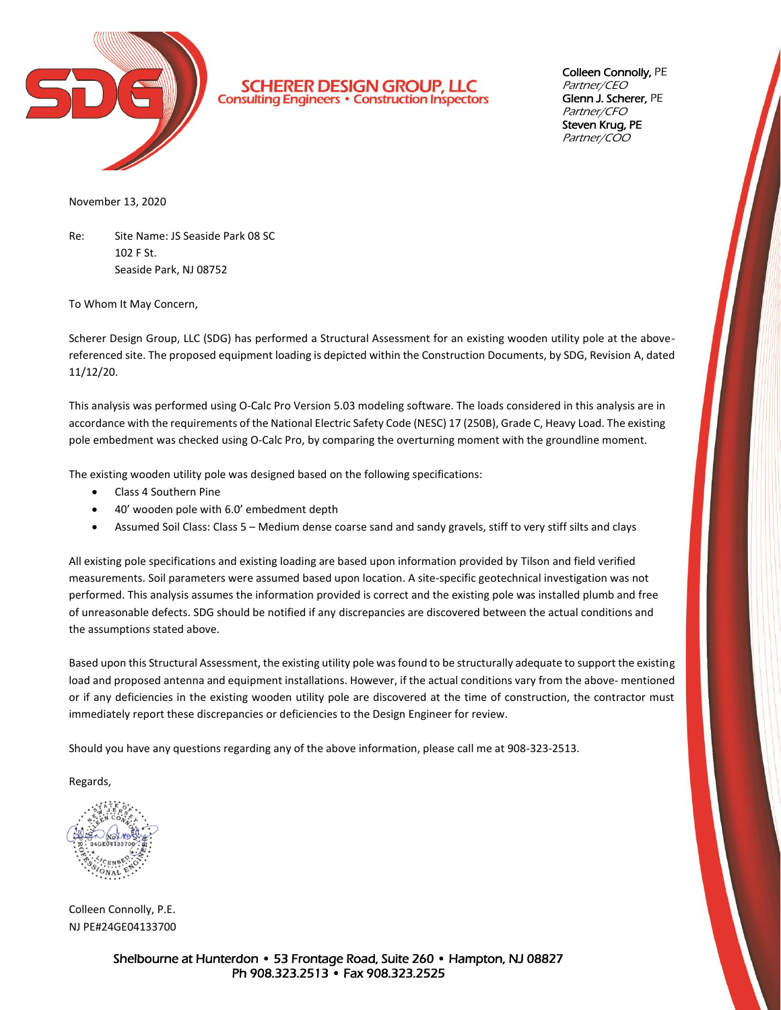

**SCHERER DESIGN GROUP, LLC**<br>Consulting Engineers · Construction Inspectors

Colleen Connolly, PE Partner/CEO Glenn J. Scherer, PE Partner/CFO Steven Krug, PE Partner/COO

November 13, 2020

Re: Site Name: JS Seaside Park 08 SC 102 F St. Seaside Park, NJ 08752

To Whom It May Concern,

Scherer Design Group, LLC (SDG) has performed a Structural Assessment for an existing wooden utility pole at the abovereferenced site. The proposed equipment loading is depicted within the Construction Documents, by SDG, Revision A, dated 11/12/20.

This analysis was performed using O-Calc Pro Version 5.03 modeling software. The loads considered in this analysis are in accordance with the requirements of the National Electric Safety Code (NESC) 17 (250B), Grade C, Heavy Load. The existing pole embedment was checked using O-Calc Pro, by comparing the overturning moment with the groundline moment.

The existing wooden utility pole was designed based on the following specifications:

- Class 4 Southern Pine
- 40' wooden pole with 6.0' embedment depth
- Assumed Soil Class: Class 5 Medium dense coarse sand and sandy gravels, stiff to very stiff silts and clays

All existing pole specifications and existing loading are based upon information provided by Tilson and field verified measurements. Soil parameters were assumed based upon location. A site-specific geotechnical investigation was not performed. This analysis assumes the information provided is correct and the existing pole was installed plumb and free of unreasonable defects. SDG should be notified if any discrepancies are discovered between the actual conditions and the assumptions stated above.

Based upon this Structural Assessment, the existing utility pole was found to be structurally adequate to support the existing load and proposed antenna and equipment installations. However, if the actual conditions vary from the above- mentioned or if any deficiencies in the existing wooden utility pole are discovered at the time of construction, the contractor must immediately report these discrepancies or deficiencies to the Design Engineer for review.

Should you have any questions regarding any of the above information, please call me at 908-323-2513.

Regards,

Colleen Connolly, P.E. NJ PE#24GE04133700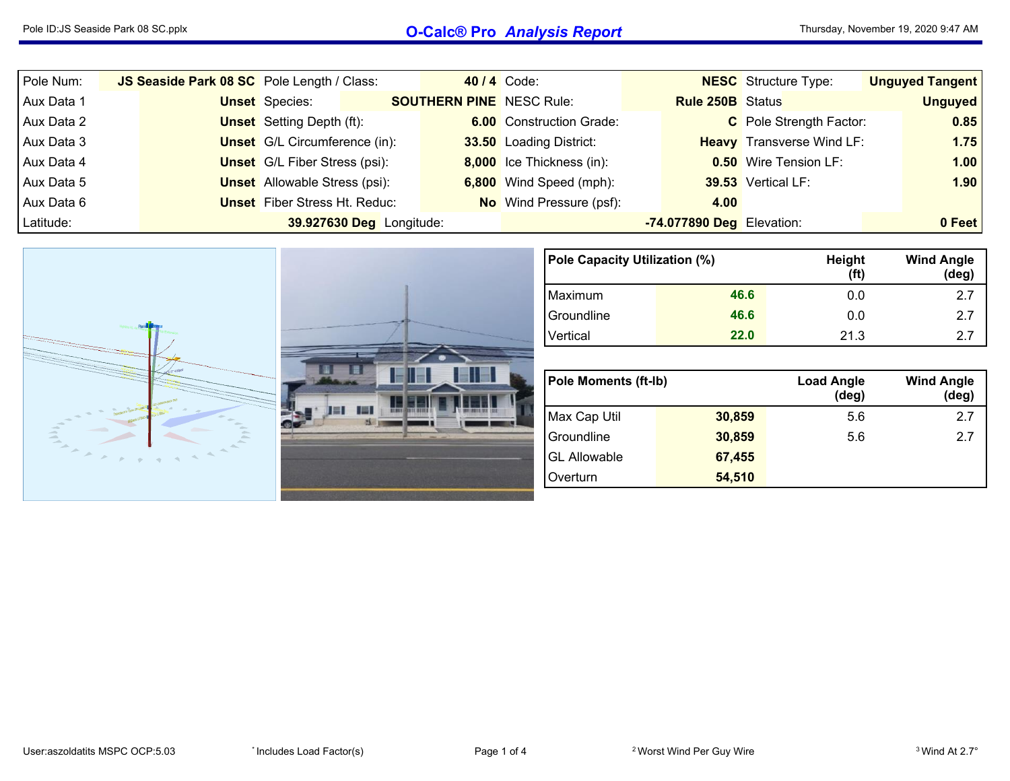## Pole ID:JS Seaside Park <sup>08</sup> SC.pplx **O-Calc® Pro** *Analysis Report*

| Pole Num:  | JS Seaside Park 08 SC Pole Length / Class: |                                      |                          |                                 | 40 / 4 Code:                    |                           | <b>NESC</b> Structure Type:      | <b>Unguyed Tangent</b> |
|------------|--------------------------------------------|--------------------------------------|--------------------------|---------------------------------|---------------------------------|---------------------------|----------------------------------|------------------------|
| Aux Data 1 |                                            | <b>Unset</b> Species:                |                          | <b>SOUTHERN PINE</b> NESC Rule: |                                 | <b>Rule 250B</b> Status   |                                  | <b>Unguyed</b>         |
| Aux Data 2 |                                            | <b>Unset</b> Setting Depth (ft):     |                          |                                 | <b>6.00</b> Construction Grade: |                           | C Pole Strength Factor:          | 0.85                   |
| Aux Data 3 |                                            | <b>Unset</b> G/L Circumference (in): |                          |                                 | 33.50 Loading District:         |                           | <b>Heavy</b> Transverse Wind LF: | 1.75                   |
| Aux Data 4 |                                            | <b>Unset</b> G/L Fiber Stress (psi): |                          |                                 | 8,000 Ice Thickness (in):       |                           | <b>0.50</b> Wire Tension LF:     | 1.00                   |
| Aux Data 5 |                                            | <b>Unset</b> Allowable Stress (psi): |                          |                                 | 6,800 Wind Speed (mph):         |                           | 39.53 Vertical LF:               | 1.90                   |
| Aux Data 6 |                                            | <b>Unset</b> Fiber Stress Ht. Reduc: |                          |                                 | <b>No</b> Wind Pressure (psf):  | 4.00                      |                                  |                        |
| Latitude:  |                                            |                                      | 39.927630 Deg Longitude: |                                 |                                 | -74.077890 Deg Elevation: |                                  | 0 Feet                 |



| Pole Capacity Utilization (%) |      | Height<br>(f <sup>t</sup> ) | <b>Wind Angle</b><br>$(\text{deg})$ |
|-------------------------------|------|-----------------------------|-------------------------------------|
| Maximum                       | 46.6 | 0.0                         | 2.7                                 |
| Groundline                    | 46.6 | 0.0                         | 2.7                                 |
| Vertical                      | 22.0 | 21.3                        | 27                                  |

| <b>Pole Moments (ft-Ib)</b> |        | <b>Load Angle</b><br>$(\deg)$ | <b>Wind Angle</b><br>$(\text{deg})$ |
|-----------------------------|--------|-------------------------------|-------------------------------------|
| Max Cap Util                | 30,859 | 5.6                           | 27                                  |
| Groundline                  | 30,859 | 5.6                           | 27                                  |
| <b>GL Allowable</b>         | 67,455 |                               |                                     |
| Overturn                    | 54,510 |                               |                                     |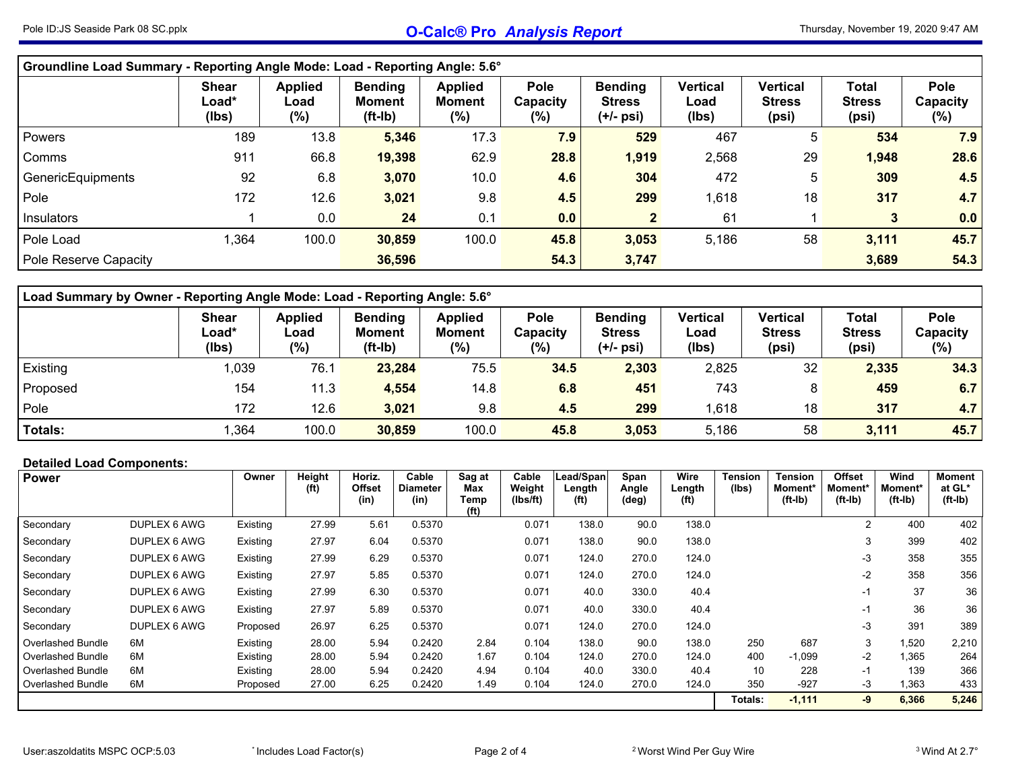| Groundline Load Summary - Reporting Angle Mode: Load - Reporting Angle: 5.6° |                                |                                   |                                       |                                 |                                    |                                              |                                  |                                    |                                        |                                   |
|------------------------------------------------------------------------------|--------------------------------|-----------------------------------|---------------------------------------|---------------------------------|------------------------------------|----------------------------------------------|----------------------------------|------------------------------------|----------------------------------------|-----------------------------------|
|                                                                              | <b>Shear</b><br>Load*<br>(lbs) | <b>Applied</b><br>Load<br>$(\% )$ | <b>Bending</b><br>Moment<br>$(ft-lb)$ | <b>Applied</b><br>Moment<br>(%) | <b>Pole</b><br>Capacity<br>$(\% )$ | <b>Bending</b><br><b>Stress</b><br>(+/- psi) | <b>Vertical</b><br>Load<br>(lbs) | Vertical<br><b>Stress</b><br>(psi) | <b>Total</b><br><b>Stress</b><br>(psi) | <b>Pole</b><br>Capacity<br>$(\%)$ |
| Powers                                                                       | 189                            | 13.8                              | 5,346                                 | 17.3                            | 7.9                                | 529                                          | 467                              | 5                                  | 534                                    | 7.9                               |
| Comms                                                                        | 911                            | 66.8                              | 19,398                                | 62.9                            | 28.8                               | 1,919                                        | 2,568                            | 29                                 | 1,948                                  | 28.6                              |
| GenericEquipments                                                            | 92                             | 6.8                               | 3,070                                 | 10.0                            | 4.6                                | 304                                          | 472                              | 5                                  | 309                                    | 4.5                               |
| Pole                                                                         | 172                            | 12.6                              | 3,021                                 | 9.8                             | 4.5                                | 299                                          | 1,618                            | 18                                 | 317                                    | 4.7                               |
| Insulators                                                                   |                                | 0.0                               | 24                                    | 0.1                             | 0.0                                |                                              | 61                               |                                    | 3                                      | 0.0                               |
| Pole Load                                                                    | .364                           | 100.0                             | 30,859                                | 100.0                           | 45.8                               | 3,053                                        | 5,186                            | 58                                 | 3,111                                  | 45.7                              |
| Pole Reserve Capacity                                                        |                                |                                   | 36,596                                |                                 | 54.3                               | 3,747                                        |                                  |                                    | 3,689                                  | 54.3                              |

| Load Summary by Owner - Reporting Angle Mode: Load - Reporting Angle: 5.6° |                                |                                  |                                             |                                    |                                   |                                              |                                  |                                           |                                        |                            |  |  |  |  |
|----------------------------------------------------------------------------|--------------------------------|----------------------------------|---------------------------------------------|------------------------------------|-----------------------------------|----------------------------------------------|----------------------------------|-------------------------------------------|----------------------------------------|----------------------------|--|--|--|--|
|                                                                            | <b>Shear</b><br>Load*<br>(lbs) | <b>Applied</b><br>Load<br>$(\%)$ | <b>Bending</b><br><b>Moment</b><br>$(ft-l)$ | <b>Applied</b><br>Moment<br>$(\%)$ | <b>Pole</b><br>Capacity<br>$(\%)$ | <b>Bending</b><br><b>Stress</b><br>(+/- psi) | <b>Vertical</b><br>Load<br>(lbs) | <b>Vertical</b><br><b>Stress</b><br>(psi) | <b>Total</b><br><b>Stress</b><br>(psi) | Pole<br>Capacity<br>$(\%)$ |  |  |  |  |
| Existing                                                                   | 1,039                          | 76.1                             | 23,284                                      | 75.5                               | 34.5                              | 2,303                                        | 2,825                            | 32                                        | 2,335                                  | 34.3                       |  |  |  |  |
| Proposed                                                                   | 154                            | 11.3                             | 4,554                                       | 14.8                               | 6.8                               | 451                                          | 743                              | 8                                         | 459                                    | 6.7                        |  |  |  |  |
| Pole                                                                       | 172                            | 12.6                             | 3,021                                       | 9.8                                | 4.5                               | 299                                          | ,618                             | 18                                        | 317                                    | 4.7                        |  |  |  |  |
| Totals:                                                                    | ,364                           | 100.0                            | 30,859                                      | 100.0                              | 45.8                              | 3,053                                        | 5.186                            | 58                                        | 3,111                                  | 45.7                       |  |  |  |  |

## **Detailed Load Components:**

| <b>Power</b>      |              | Owner    | Height<br>(f <sup>t</sup> ) | Horiz.<br><b>Offset</b> | Cable<br><b>Diameter</b> | Sag at<br>Max             | Cable<br>Weight | Lead/Span<br>Length | Span<br>Angle | Wire<br>Length    | <b>Tension</b><br>(Ibs) | <b>Tension</b><br>Moment* | <b>Offset</b><br>Moment* | Wind<br>Moment* | Moment<br>at GL* |
|-------------------|--------------|----------|-----------------------------|-------------------------|--------------------------|---------------------------|-----------------|---------------------|---------------|-------------------|-------------------------|---------------------------|--------------------------|-----------------|------------------|
|                   |              |          |                             | (in)                    | (in)                     | Temp<br>(f <sup>t</sup> ) | (Ibs/ft)        | (ft)                | (deg)         | (f <sup>t</sup> ) |                         | $(ft-lb)$                 | $(ft-lb)$                | $(ft-lb)$       | $(ft-lb)$        |
| Secondary         | DUPLEX 6 AWG | Existing | 27.99                       | 5.61                    | 0.5370                   |                           | 0.071           | 138.0               | 90.0          | 138.0             |                         |                           | 2                        | 400             | 402              |
| Secondary         | DUPLEX 6 AWG | Existing | 27.97                       | 6.04                    | 0.5370                   |                           | 0.071           | 138.0               | 90.0          | 138.0             |                         |                           | 3                        | 399             | 402              |
| Secondary         | DUPLEX 6 AWG | Existing | 27.99                       | 6.29                    | 0.5370                   |                           | 0.071           | 124.0               | 270.0         | 124.0             |                         |                           | -3                       | 358             | 355              |
| Secondary         | DUPLEX 6 AWG | Existing | 27.97                       | 5.85                    | 0.5370                   |                           | 0.071           | 124.0               | 270.0         | 124.0             |                         |                           | $-2$                     | 358             | 356              |
| Secondary         | DUPLEX 6 AWG | Existing | 27.99                       | 6.30                    | 0.5370                   |                           | 0.071           | 40.0                | 330.0         | 40.4              |                         |                           | -1                       | 37              | 36               |
| Secondary         | DUPLEX 6 AWG | Existing | 27.97                       | 5.89                    | 0.5370                   |                           | 0.071           | 40.0                | 330.0         | 40.4              |                         |                           | -1                       | 36              | 36               |
| Secondary         | DUPLEX 6 AWG | Proposed | 26.97                       | 6.25                    | 0.5370                   |                           | 0.071           | 124.0               | 270.0         | 124.0             |                         |                           | -3                       | 391             | 389              |
| Overlashed Bundle | 6M           | Existing | 28.00                       | 5.94                    | 0.2420                   | 2.84                      | 0.104           | 138.0               | 90.0          | 138.0             | 250                     | 687                       | 3                        | 1,520           | 2,210            |
| Overlashed Bundle | 6M           | Existing | 28.00                       | 5.94                    | 0.2420                   | 1.67                      | 0.104           | 124.0               | 270.0         | 124.0             | 400                     | $-1,099$                  | $-2$                     | 1,365           | 264              |
| Overlashed Bundle | 6M           | Existing | 28.00                       | 5.94                    | 0.2420                   | 4.94                      | 0.104           | 40.0                | 330.0         | 40.4              | 10                      | 228                       | $-1$                     | 139             | 366              |
| Overlashed Bundle | 6M           | Proposed | 27.00                       | 6.25                    | 0.2420                   | 1.49                      | 0.104           | 124.0               | 270.0         | 124.0             | 350                     | $-927$                    | -3                       | 1,363           | 433              |
|                   |              |          |                             |                         |                          |                           |                 |                     |               |                   | Totals:                 | $-1,111$                  | -9                       | 6,366           | 5,246            |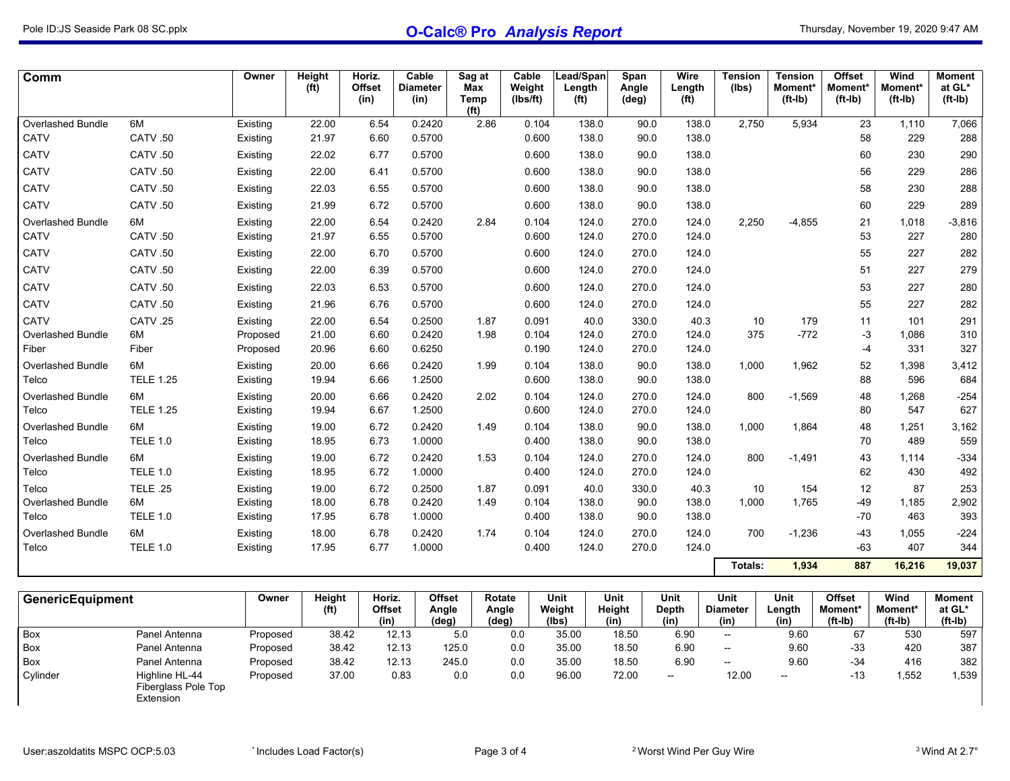| Comm                     |                  | Owner    | Height<br>(f <sup>t</sup> ) | Horiz.<br><b>Offset</b><br>(in) | Cable<br><b>Diameter</b><br>(in) | Sag at<br>Max<br>Temp<br>(f <sup>t</sup> ) | Cable<br>Weight<br>(Ibs/ft) | Lead/Span<br>Length<br>(f <sup>t</sup> ) | Span<br>Angle<br>$(\text{deg})$ | Wire<br>Length<br>(f <sup>t</sup> ) | <b>Tension</b><br>(lbs) | <b>Tension</b><br>Moment*<br>$(ft-lb)$ | <b>Offset</b><br>Moment*<br>$(ft-lb)$ | Wind<br>Moment*<br>$(ft-lb)$ | <b>Moment</b><br>at GL*<br>$(ft-lb)$ |
|--------------------------|------------------|----------|-----------------------------|---------------------------------|----------------------------------|--------------------------------------------|-----------------------------|------------------------------------------|---------------------------------|-------------------------------------|-------------------------|----------------------------------------|---------------------------------------|------------------------------|--------------------------------------|
| <b>Overlashed Bundle</b> | 6M               | Existing | 22.00                       | 6.54                            | 0.2420                           | 2.86                                       | 0.104                       | 138.0                                    | 90.0                            | 138.0                               | 2,750                   | 5,934                                  | 23                                    | 1.110                        | 7,066                                |
| <b>CATV</b>              | CATV .50         | Existing | 21.97                       | 6.60                            | 0.5700                           |                                            | 0.600                       | 138.0                                    | 90.0                            | 138.0                               |                         |                                        | 58                                    | 229                          | 288                                  |
| CATV                     | CATV .50         | Existing | 22.02                       | 6.77                            | 0.5700                           |                                            | 0.600                       | 138.0                                    | 90.0                            | 138.0                               |                         |                                        | 60                                    | 230                          | 290                                  |
| CATV                     | CATV .50         | Existing | 22.00                       | 6.41                            | 0.5700                           |                                            | 0.600                       | 138.0                                    | 90.0                            | 138.0                               |                         |                                        | 56                                    | 229                          | 286                                  |
| CATV                     | CATV .50         | Existing | 22.03                       | 6.55                            | 0.5700                           |                                            | 0.600                       | 138.0                                    | 90.0                            | 138.0                               |                         |                                        | 58                                    | 230                          | 288                                  |
| CATV                     | CATV .50         | Existing | 21.99                       | 6.72                            | 0.5700                           |                                            | 0.600                       | 138.0                                    | 90.0                            | 138.0                               |                         |                                        | 60                                    | 229                          | 289                                  |
| <b>Overlashed Bundle</b> | 6M               | Existing | 22.00                       | 6.54                            | 0.2420                           | 2.84                                       | 0.104                       | 124.0                                    | 270.0                           | 124.0                               | 2,250                   | $-4,855$                               | 21                                    | 1,018                        | $-3,816$                             |
| <b>CATV</b>              | CATV .50         | Existing | 21.97                       | 6.55                            | 0.5700                           |                                            | 0.600                       | 124.0                                    | 270.0                           | 124.0                               |                         |                                        | 53                                    | 227                          | 280                                  |
| CATV                     | CATV .50         | Existing | 22.00                       | 6.70                            | 0.5700                           |                                            | 0.600                       | 124.0                                    | 270.0                           | 124.0                               |                         |                                        | 55                                    | 227                          | 282                                  |
| <b>CATV</b>              | CATV .50         | Existing | 22.00                       | 6.39                            | 0.5700                           |                                            | 0.600                       | 124.0                                    | 270.0                           | 124.0                               |                         |                                        | 51                                    | 227                          | 279                                  |
| CATV                     | CATV .50         | Existing | 22.03                       | 6.53                            | 0.5700                           |                                            | 0.600                       | 124.0                                    | 270.0                           | 124.0                               |                         |                                        | 53                                    | 227                          | 280                                  |
| CATV                     | CATV .50         | Existing | 21.96                       | 6.76                            | 0.5700                           |                                            | 0.600                       | 124.0                                    | 270.0                           | 124.0                               |                         |                                        | 55                                    | 227                          | 282                                  |
| CATV                     | CATV.25          | Existing | 22.00                       | 6.54                            | 0.2500                           | 1.87                                       | 0.091                       | 40.0                                     | 330.0                           | 40.3                                | 10                      | 179                                    | 11                                    | 101                          | 291                                  |
| Overlashed Bundle        | 6M               | Proposed | 21.00                       | 6.60                            | 0.2420                           | 1.98                                       | 0.104                       | 124.0                                    | 270.0                           | 124.0                               | 375                     | $-772$                                 | -3                                    | 1,086                        | 310                                  |
| Fiber                    | Fiber            | Proposed | 20.96                       | 6.60                            | 0.6250                           |                                            | 0.190                       | 124.0                                    | 270.0                           | 124.0                               |                         |                                        | $-4$                                  | 331                          | 327                                  |
| <b>Overlashed Bundle</b> | 6M               | Existing | 20.00                       | 6.66                            | 0.2420                           | 1.99                                       | 0.104                       | 138.0                                    | 90.0                            | 138.0                               | 1,000                   | 1,962                                  | 52                                    | 1,398                        | 3,412                                |
| Telco                    | <b>TELE 1.25</b> | Existing | 19.94                       | 6.66                            | 1.2500                           |                                            | 0.600                       | 138.0                                    | 90.0                            | 138.0                               |                         |                                        | 88                                    | 596                          | 684                                  |
| <b>Overlashed Bundle</b> | 6M               | Existing | 20.00                       | 6.66                            | 0.2420                           | 2.02                                       | 0.104                       | 124.0                                    | 270.0                           | 124.0                               | 800                     | $-1,569$                               | 48                                    | 1,268                        | $-254$                               |
| Telco                    | <b>TELE 1.25</b> | Existing | 19.94                       | 6.67                            | 1.2500                           |                                            | 0.600                       | 124.0                                    | 270.0                           | 124.0                               |                         |                                        | 80                                    | 547                          | 627                                  |
| Overlashed Bundle        | 6M               | Existing | 19.00                       | 6.72                            | 0.2420                           | 1.49                                       | 0.104                       | 138.0                                    | 90.0                            | 138.0                               | 1,000                   | 1,864                                  | 48                                    | 1,251                        | 3,162                                |
| Telco                    | <b>TELE 1.0</b>  | Existing | 18.95                       | 6.73                            | 1.0000                           |                                            | 0.400                       | 138.0                                    | 90.0                            | 138.0                               |                         |                                        | 70                                    | 489                          | 559                                  |
| Overlashed Bundle        | 6M               | Existing | 19.00                       | 6.72                            | 0.2420                           | 1.53                                       | 0.104                       | 124.0                                    | 270.0                           | 124.0                               | 800                     | $-1,491$                               | 43                                    | 1.114                        | $-334$                               |
| Telco                    | <b>TELE 1.0</b>  | Existing | 18.95                       | 6.72                            | 1.0000                           |                                            | 0.400                       | 124.0                                    | 270.0                           | 124.0                               |                         |                                        | 62                                    | 430                          | 492                                  |
| Telco                    | <b>TELE .25</b>  | Existing | 19.00                       | 6.72                            | 0.2500                           | 1.87                                       | 0.091                       | 40.0                                     | 330.0                           | 40.3                                | 10                      | 154                                    | 12                                    | 87                           | 253                                  |
| <b>Overlashed Bundle</b> | 6M               | Existing | 18.00                       | 6.78                            | 0.2420                           | 1.49                                       | 0.104                       | 138.0                                    | 90.0                            | 138.0                               | 1,000                   | 1,765                                  | $-49$                                 | 1,185                        | 2,902                                |
| Telco                    | <b>TELE 1.0</b>  | Existing | 17.95                       | 6.78                            | 1.0000                           |                                            | 0.400                       | 138.0                                    | 90.0                            | 138.0                               |                         |                                        | $-70$                                 | 463                          | 393                                  |
| <b>Overlashed Bundle</b> | 6M               | Existing | 18.00                       | 6.78<br>6.77                    | 0.2420                           | 1.74                                       | 0.104                       | 124.0                                    | 270.0                           | 124.0                               | 700                     | $-1,236$                               | $-43$                                 | 1,055                        | $-224$                               |
| Telco                    | <b>TELE 1.0</b>  | Existing | 17.95                       |                                 | 1.0000                           |                                            | 0.400                       | 124.0                                    | 270.0                           | 124.0                               |                         |                                        | $-63$                                 | 407                          | 344                                  |
|                          |                  |          |                             |                                 |                                  |                                            |                             |                                          |                                 |                                     | Totals:                 | 1,934                                  | 887                                   | 16,216                       | 19,037                               |

| <b>GenericEquipment</b> |                                                    | Owner    | Height<br>(ft) | Horiz.<br>Offset<br>(in) | <b>Offset</b><br>Angle<br>$(\text{deg})$ | Rotate<br>Angle<br>(deg) | Unit<br>Weight<br>(lbs) | Unit<br>Height<br>(in) | Unit<br>Depth<br>(in)    | Unit<br><b>Diameter</b><br>(in) | Unit<br>Length<br>(in) | <b>Offset</b><br><b>Moment*</b><br>$(ft-lb)$ | Wind<br>Moment*<br>$(ft-lb)$ | Moment<br>at GL*<br>$(ft-lb)$ |
|-------------------------|----------------------------------------------------|----------|----------------|--------------------------|------------------------------------------|--------------------------|-------------------------|------------------------|--------------------------|---------------------------------|------------------------|----------------------------------------------|------------------------------|-------------------------------|
| <b>Box</b>              | Panel Antenna                                      | Proposed | 38.42          | 12.13                    | 5.0                                      | 0.0                      | 35.00                   | 18.50                  | 6.90                     | $\overline{\phantom{a}}$        | 9.60                   | 67                                           | 530                          | 597                           |
| <b>Box</b>              | Panel Antenna                                      | Proposed | 38.42          | 12.13                    | 125.0                                    | 0.0                      | 35.00                   | 18.50                  | 6.90                     | $\overline{\phantom{a}}$        | 9.60                   | $-33$                                        | 420                          | 387                           |
| Box                     | Panel Antenna                                      | Proposed | 38.42          | 12.13                    | 245.0                                    | 0.0                      | 35.00                   | 18.50                  | 6.90                     | $- -$                           | 9.60                   | $-34$                                        | 416                          | 382                           |
| Cylinder                | Highline HL-44<br>Fiberglass Pole Top<br>Extension | Proposed | 37.00          | 0.83                     | 0.0                                      | 0.0                      | 96.00                   | 72.00                  | $\overline{\phantom{a}}$ | 12.00                           | $- -$                  | $-13$                                        | .552                         | .539                          |